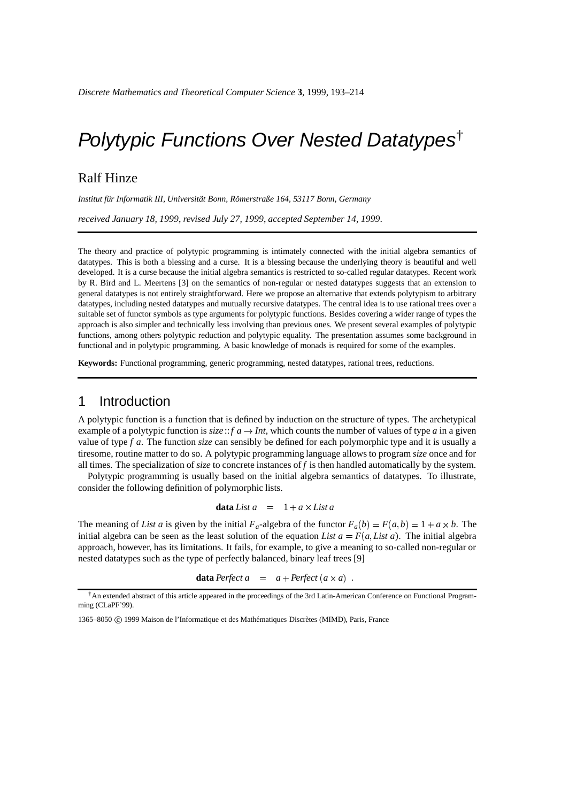# Polytypic Functions Over Nested Datatypes†

## Ralf Hinze

Institut für Informatik III, Universität Bonn, Römerstraße 164, 53117 Bonn, Germany

*received January 18, 1999*, *revised July 27, 1999*, *accepted September 14, 1999*.

The theory and practice of polytypic programming is intimately connected with the initial algebra semantics of datatypes. This is both a blessing and a curse. It is a blessing because the underlying theory is beautiful and well developed. It is a curse because the initial algebra semantics is restricted to so-called regular datatypes. Recent work by R. Bird and L. Meertens [3] on the semantics of non-regular or nested datatypes suggests that an extension to general datatypes is not entirely straightforward. Here we propose an alternative that extends polytypism to arbitrary datatypes, including nested datatypes and mutually recursive datatypes. The central idea is to use rational trees over a suitable set of functor symbols as type arguments for polytypic functions. Besides covering a wider range of types the approach is also simpler and technically less involving than previous ones. We present several examples of polytypic functions, among others polytypic reduction and polytypic equality. The presentation assumes some background in functional and in polytypic programming. A basic knowledge of monads is required for some of the examples.

**Keywords:** Functional programming, generic programming, nested datatypes, rational trees, reductions.

## 1 Introduction

A polytypic function is a function that is defined by induction on the structure of types. The archetypical example of a polytypic function is  $size:$ :*f*  $a \rightarrow Int$ , which counts the number of values of type *a* in a given value of type *f a*. The function *size* can sensibly be defined for each polymorphic type and it is usually a tiresome, routine matter to do so. A polytypic programming language allows to program *size* once and for all times. The specialization of *size* to concrete instances of *f* is then handled automatically by the system.

Polytypic programming is usually based on the initial algebra semantics of datatypes. To illustrate, consider the following definition of polymorphic lists.

**data** List 
$$
a = 1 + a \times List
$$

The meaning of *List a* is given by the initial  $F_a$ -algebra of the functor  $F_a(b) = F(a,b) = 1 + a \times b$ . The initial algebra can be seen as the least solution of the equation *List*  $a = F(a, List a)$ . The initial algebra approach, however, has its limitations. It fails, for example, to give a meaning to so-called non-regular or nested datatypes such as the type of perfectly balanced, binary leaf trees [9]

**data** Perfect  $a = a + Perfect (a \times a)$ .

<sup>†</sup>An extended abstract of this article appeared in the proceedings of the 3rd Latin-American Conference on Functional Programming (CLaPF'99).

<sup>1365–8050 © 1999</sup> Maison de l'Informatique et des Mathématiques Discrètes (MIMD), Paris, France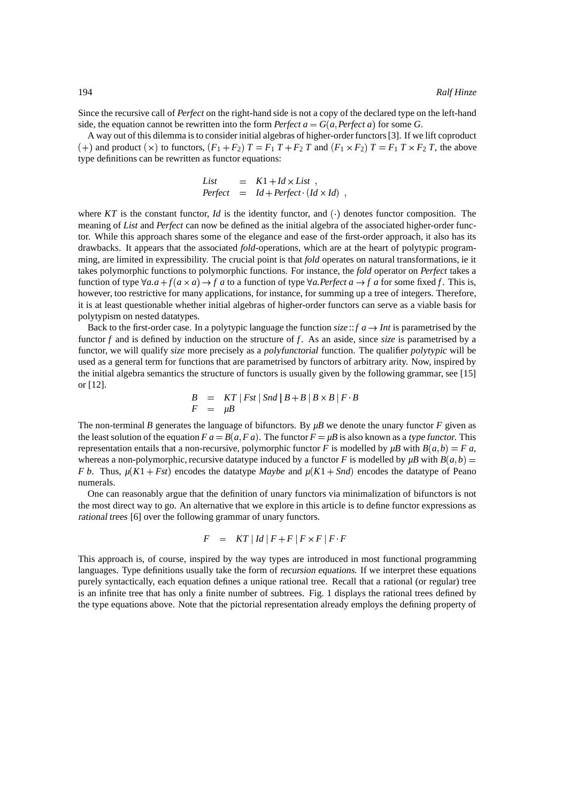Since the recursive call of *Perfect* on the right-hand side is not a copy of the declared type on the left-hand side, the equation cannot be rewritten into the form *Perfect*  $a = G(a, Perfect\ a)$  for some *G*.

A way out of this dilemma is to consider initial algebras of higher-orderfunctors [3]. If we lift coproduct  $(+)$  and product  $(\times)$  to functors,  $(F_1 + F_2)$   $T = F_1$   $T + F_2$   $T$  and  $(F_1 \times F_2)$   $T = F_1$   $T \times F_2$   $T$ , the above type definitions can be rewritten as functor equations:

List = 
$$
K1 + Id \times List
$$
,  
Perfect =  $Id + Perfect \cdot (Id \times Id)$ ,

where  $KT$  is the constant functor, *Id* is the identity functor, and  $(\cdot)$  denotes functor composition. The meaning of *List* and *Perfect* can now be defined as the initial algebra of the associated higher-order functor. While this approach shares some of the elegance and ease of the first-order approach, it also has its drawbacks. It appears that the associated *fold*-operations, which are at the heart of polytypic programming, are limited in expressibility. The crucial point is that *fold* operates on natural transformations, ie it takes polymorphic functions to polymorphic functions. For instance, the *fold* operator on *Perfect* takes a function of type  $\forall a \cdot a + f(a \times a) \rightarrow f a$  to a function of type  $\forall a \cdot Prefect \, a \rightarrow f a$  for some fixed f. This is, however, too restrictive for many applications, for instance, for summing up a tree of integers. Therefore, it is at least questionable whether initial algebras of higher-order functors can serve as a viable basis for polytypism on nested datatypes.

Back to the first-order case. In a polytypic language the function  $size$ ::*f*  $a \rightarrow Int$  is parametrised by the functor *f* and is defined by induction on the structure of *f*. As an aside, since *size* is parametrised by a functor, we will qualify *size* more precisely as a polyfunctorial function. The qualifier polytypic will be used as a general term for functions that are parametrised by functors of arbitrary arity. Now, inspired by the initial algebra semantics the structure of functors is usually given by the following grammar, see [15] or [12].

$$
B = KT | Fst | Snd | B + B | B \times B | F \cdot B
$$
  

$$
F = \mu B
$$

The non-terminal *B* generates the language of bifunctors. By  $\mu$ B we denote the unary functor *F* given as the least solution of the equation  $F a = B(a, Fa)$ . The functor  $F = \mu B$  is also known as a type functor. This representation entails that a non-recursive, polymorphic functor *F* is modelled by  $\mu$ *B* with  $B(a,b) = F a$ , whereas a non-polymorphic, recursive datatype induced by a functor *F* is modelled by  $\mu$ *B* with  $B(a,b)$  = *F b.* Thus,  $\mu$ (K1 + *Fst*) encodes the datatype *Maybe* and  $\mu$ (K1 + *Snd*) encodes the datatype of Peano numerals.

One can reasonably argue that the definition of unary functors via minimalization of bifunctors is not the most direct way to go. An alternative that we explore in this article is to define functor expressions as rational trees [6] over the following grammar of unary functors.

$$
F = KT | Id | F + F | F \times F | F \cdot F
$$

This approach is, of course, inspired by the way types are introduced in most functional programming languages. Type definitions usually take the form of recursion equations. If we interpret these equations purely syntactically, each equation defines a unique rational tree. Recall that a rational (or regular) tree is an infinite tree that has only a finite number of subtrees. Fig. 1 displays the rational trees defined by the type equations above. Note that the pictorial representation already employs the defining property of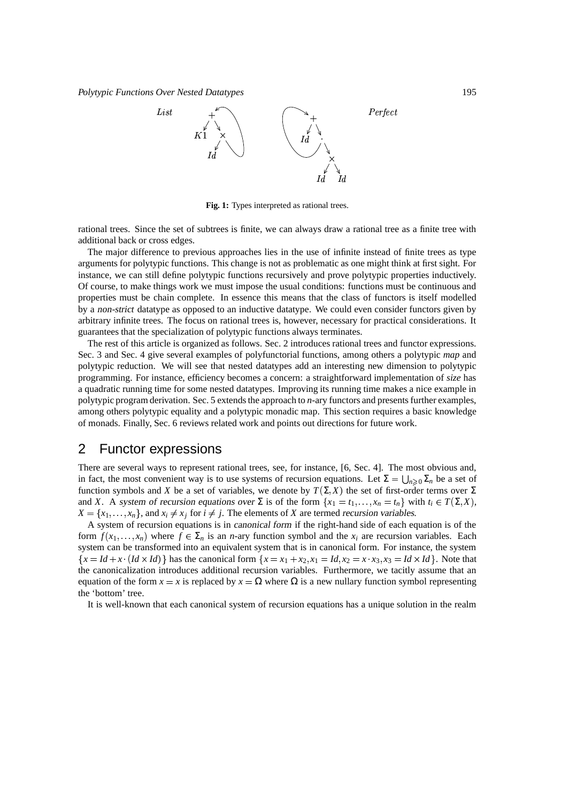*Polytypic Functions Over Nested Datatypes* 195



**Fig. 1:** Types interpreted as rational trees.

rational trees. Since the set of subtrees is finite, we can always draw a rational tree as a finite tree with additional back or cross edges.

The major difference to previous approaches lies in the use of infinite instead of finite trees as type arguments for polytypic functions. This change is not as problematic as one might think at first sight. For instance, we can still define polytypic functions recursively and prove polytypic properties inductively. Of course, to make things work we must impose the usual conditions: functions must be continuous and properties must be chain complete. In essence this means that the class of functors is itself modelled by a non-strict datatype as opposed to an inductive datatype. We could even consider functors given by arbitrary infinite trees. The focus on rational trees is, however, necessary for practical considerations. It guarantees that the specialization of polytypic functions always terminates.

The rest of this article is organized as follows. Sec. 2 introduces rational trees and functor expressions. Sec. 3 and Sec. 4 give several examples of polyfunctorial functions, among others a polytypic *map* and polytypic reduction. We will see that nested datatypes add an interesting new dimension to polytypic programming. For instance, efficiency becomes a concern: a straightforward implementation of *size* has a quadratic running time for some nested datatypes. Improving its running time makes a nice example in polytypic program derivation. Sec. 5 extends the approach to *n*-ary functors and presents further examples, among others polytypic equality and a polytypic monadic map. This section requires a basic knowledge of monads. Finally, Sec. 6 reviews related work and points out directions for future work.

## 2 Functor expressions

There are several ways to represent rational trees, see, for instance, [6, Sec. 4]. The most obvious and, in fact, the most convenient way is to use systems of recursion equations. Let  $\Sigma = \bigcup_{n>0} \Sigma_n$  be a set of function symbols and *X* be a set of variables, we denote by  $T(\Sigma, X)$  the set of first-order terms over  $\Sigma$ and *X*. A system of recursion equations over  $\Sigma$  is of the form  $\{x_1 = t_1, \ldots, x_n = t_n\}$  with  $t_i \in T(\Sigma, X)$ ,  $X = \{x_1, \ldots, x_n\}$ , and  $x_i \neq x_j$  for  $i \neq j$ . The elements of *X* are termed recursion variables.

A system of recursion equations is in canonical form if the right-hand side of each equation is of the form  $f(x_1, \ldots, x_n)$  where  $f \in \Sigma_n$  is an *n*-ary function symbol and the  $x_i$  are recursion variables. Each system can be transformed into an equivalent system that is in canonical form. For instance, the system  $\{x = Id + x \cdot (Id \times Id)\}\$  has the canonical form  $\{x = x_1 + x_2, x_1 = Id, x_2 = x \cdot x_3, x_3 = Id \times Id\}$ . Note that the canonicalization introduces additional recursion variables. Furthermore, we tacitly assume that an equation of the form  $x = x$  is replaced by  $x = \Omega$  where  $\Omega$  is a new nullary function symbol representing the 'bottom' tree.

It is well-known that each canonical system of recursion equations has a unique solution in the realm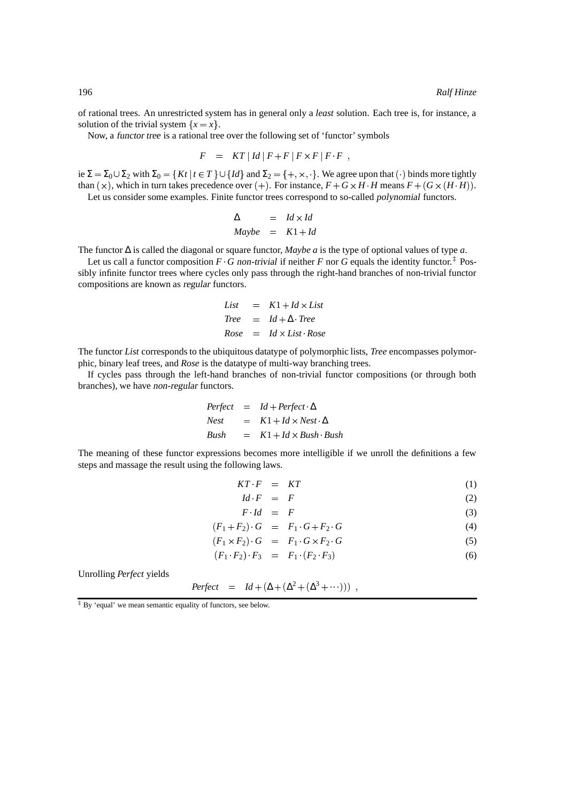of rational trees. An unrestricted system has in general only a *least* solution. Each tree is, for instance, a solution of the trivial system  $\{x = x\}$ .

Now, a functor tree is a rational tree over the following set of 'functor' symbols

$$
F = KT |Id|F+F|F \times F|F \cdot F,
$$

ie  $\Sigma = \Sigma_0 \cup \Sigma_2$  with  $\Sigma_0 = \{Kt \mid t \in T\} \cup \{Id\}$  and  $\Sigma_2 = \{+, \times, \cdot\}$ . We agree upon that  $(\cdot)$  binds more tightly than  $(\times)$ , which in turn takes precedence over  $(+)$ . For instance,  $F + G \times H \cdot H$  means  $F + (G \times (H \cdot H))$ .

Let us consider some examples. Finite functor trees correspond to so-called polynomial functors.

$$
\Delta = Id \times Id
$$
  
 
$$
Maybe = K1 + Id
$$

The functor ∆ is called the diagonal or square functor, *Maybe a* is the type of optional values of type *a*.

Let us call a functor composition  $F \cdot G$  non-trivial if neither  $F$  nor  $G$  equals the identity functor.<sup>‡</sup> Possibly infinite functor trees where cycles only pass through the right-hand branches of non-trivial functor compositions are known as regular functors.

List = 
$$
K1 + Id \times List
$$
  
Tree =  $Id + \Delta \cdot Tree$   
Rose =  $Id \times List \cdot Rose$ 

The functor *List* corresponds to the ubiquitous datatype of polymorphic lists, *Tree* encompasses polymorphic, binary leaf trees, and *Rose* is the datatype of multi-way branching trees.

If cycles pass through the left-hand branches of non-trivial functor compositions (or through both branches), we have non-regular functors.

$$
Perfect = Id + Perfect \cdot \Delta
$$
  

$$
Nest = K1 + Id \times Nest \cdot \Delta
$$
  

$$
Bush = K1 + Id \times Bush \cdot Bush
$$

The meaning of these functor expressions becomes more intelligible if we unroll the definitions a few steps and massage the result using the following laws.

$$
KT \tF = KT \t(1)
$$

$$
Id \cdot F = F \tag{2}
$$

$$
F \cdot Id = F \tag{3}
$$

$$
(F_1 + F_2) \cdot G = F_1 \cdot G + F_2 \cdot G \tag{4}
$$

$$
(F_1 \times F_2) \cdot G = F_1 \cdot G \times F_2 \cdot G \tag{5}
$$

$$
(F_1 \tF_2) \tF_3 = F_1 \t(F_2 \tF_3) \t\t(6)
$$

Unrolling *Perfect* yields

$$
Perfect = Id + (\Delta + (\Delta^2 + (\Delta^3 + \cdots))) ,
$$

‡ By 'equal' we mean semantic equality of functors, see below.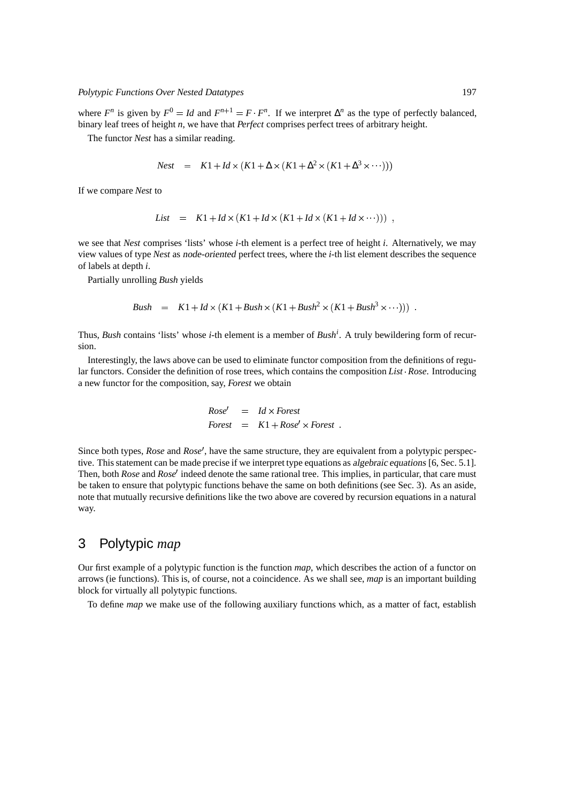where  $F^n$  is given by  $F^0 = Id$  and  $F^{n+1} = F \cdot F^n$ . If we interpret  $\Delta^n$  as the type of perfectly balanced, binary leaf trees of height *n*, we have that *Perfect* comprises perfect trees of arbitrary height.

The functor *Nest* has a similar reading.

$$
Nest = K1 + Id \times (K1 + \Delta \times (K1 + \Delta^2 \times (K1 + \Delta^3 \times \cdots)))
$$

If we compare *Nest* to

List = 
$$
K1 + Id \times (K1 + Id \times (K1 + Id \times (K1 + Id \times \cdots)))
$$
,

we see that *Nest* comprises 'lists' whose *i*-th element is a perfect tree of height *i*. Alternatively, we may view values of type *Nest* as node-oriented perfect trees, where the *i*-th list element describes the sequence of labels at depth *i*.

Partially unrolling *Bush* yields

*Bush* = 
$$
K1 + Id \times (K1 + Bush \times (K1 + Bush^2 \times (K1 + Bush^3 \times \cdots)))
$$
.

Thus, *Bush* contains 'lists' whose *i*-th element is a member of *Bush<sup>i</sup>* . A truly bewildering form of recursion.

Interestingly, the laws above can be used to eliminate functor composition from the definitions of regular functors. Consider the definition of rose trees, which contains the composition*List Rose*. Introducing a new functor for the composition, say, *Forest* we obtain

$$
Rose' = Id \times Forest
$$
  
Forest =  $K1 + Rose' \times Forest$ .

Since both types, *Rose* and *Rose'*, have the same structure, they are equivalent from a polytypic perspective. This statement can be made precise if we interpret type equations as algebraic equations [6, Sec. 5.1]. Then, both *Rose* and *Rose'* indeed denote the same rational tree. This implies, in particular, that care must be taken to ensure that polytypic functions behave the same on both definitions (see Sec. 3). As an aside, note that mutually recursive definitions like the two above are covered by recursion equations in a natural way.

## 3 Polytypic *map*

Our first example of a polytypic function is the function *map*, which describes the action of a functor on arrows (ie functions). This is, of course, not a coincidence. As we shall see, *map* is an important building block for virtually all polytypic functions.

To define *map* we make use of the following auxiliary functions which, as a matter of fact, establish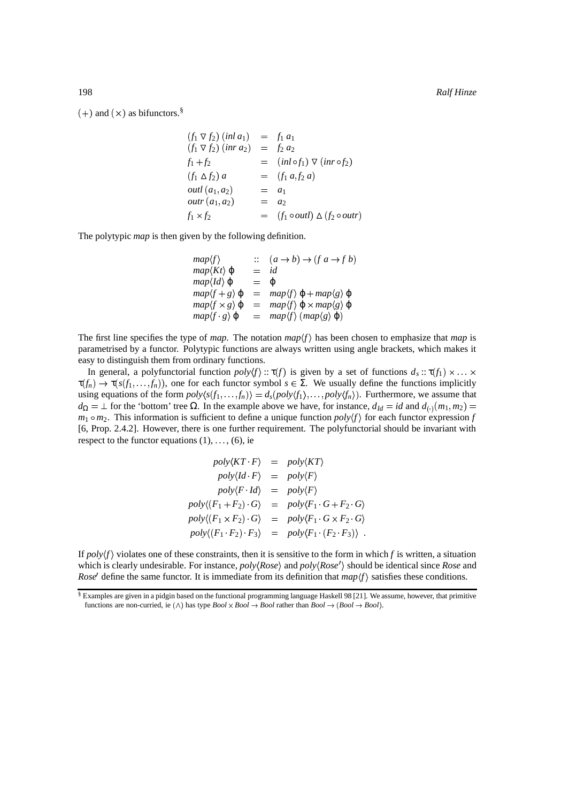$(+)$  and  $(\times)$  as bifunctors.<sup>§</sup>

$$
(f_1 \nabla f_2) (inl a_1) = f_1 a_1
$$
  
\n
$$
(f_1 \nabla f_2) (inr a_2) = f_2 a_2
$$
  
\n
$$
f_1 + f_2 = (inl \circ f_1) \nabla (inr \circ f_2)
$$
  
\n
$$
(f_1 \triangle f_2) a = (f_1 a, f_2 a)
$$
  
\n
$$
outl (a_1, a_2) = a_1
$$
  
\n
$$
outr (a_1, a_2) = a_2
$$
  
\n
$$
f_1 \times f_2 = (f_1 \circ outl) \triangle (f_2 \circ outr)
$$

The polytypic *map* is then given by the following definition.

| $map\langle f \rangle$                  |         | $(a \rightarrow b) \rightarrow (f a \rightarrow f b)$            |
|-----------------------------------------|---------|------------------------------------------------------------------|
| $map\langle Kt\rangle \varphi$          | $=$     | id                                                               |
| $map\langle Id \rangle$ $\varphi$       | $=$     | O)                                                               |
| $map\langle f+g\rangle \varphi$         |         | $map\langle f\rangle \varphi + map\langle g\rangle \varphi$      |
| $map\langle f \times g \rangle \varphi$ |         | $map\langle f\rangle \varphi \times map\langle g\rangle \varphi$ |
| $map\langle f \, g \rangle \varphi$     | $=$ $-$ | $map\langle f \rangle$ (map $\langle g \rangle \varphi$ )        |

The first line specifies the type of *map*. The notation  $map\{f\}$  has been chosen to emphasize that *map* is parametrised by a functor. Polytypic functions are always written using angle brackets, which makes it easy to distinguish them from ordinary functions.

In general, a polyfunctorial function  $poly(f) :: \tau(f)$  is given by a set of functions  $d_s :: \tau(f_1) \times ... \times$  $\tau(f_n) \to \tau(s(f_1, \ldots, f_n))$ , one for each functor symbol  $s \in \Sigma$ . We usually define the functions implicitly using equations of the form  $poly\langle s(f_1,...,f_n)\rangle = d_s(poly\langle f_1\rangle,...,poly\langle f_n\rangle)$ . Furthermore, we assume that  $d_{\Omega} = \bot$  for the 'bottom' tree  $\Omega$ . In the example above we have, for instance,  $d_{Id} = id$  and  $d_{(\cdot)}(m_1, m_2) =$  $m_1 \circ m_2$ . This information is sufficient to define a unique function  $poly(f)$  for each functor expression *f* [6, Prop. 2.4.2]. However, there is one further requirement. The polyfunctorial should be invariant with respect to the functor equations  $(1), \ldots, (6)$ , ie

$$
poly\langle KT \cdot F \rangle = poly\langle KT \rangle
$$
  
\n
$$
poly\langle Id \cdot F \rangle = poly\langle F \rangle
$$
  
\n
$$
poly\langle F \cdot Id \rangle = poly\langle F \rangle
$$
  
\n
$$
poly\langle (F_1 + F_2) \cdot G \rangle = poly\langle F_1 \cdot G + F_2 \cdot G \rangle
$$
  
\n
$$
poly\langle (F_1 \times F_2) \cdot G \rangle = poly\langle F_1 \cdot G \times F_2 \cdot G \rangle
$$
  
\n
$$
poly\langle (F_1 \cdot F_2) \cdot F_3 \rangle = poly\langle F_1 \cdot (F_2 \cdot F_3) \rangle
$$

If  $poly(f)$  violates one of these constraints, then it is sensitive to the form in which *f* is written, a situation which is clearly undesirable. For instance,  $poly(Rose)$  and  $poly(Rose')$  should be identical since *Rose* and *Rose'* define the same functor. It is immediate from its definition that  $map\langle f \rangle$  satisfies these conditions.

<sup>§</sup> Examples are given in a pidgin based on the functional programming language Haskell 98 [21]. We assume, however, that primitive functions are non-curried, ie  $(\wedge)$  has type  $Bool \rightarrow Bool$  rather than  $Bool \rightarrow (Bool \rightarrow Bool)$ .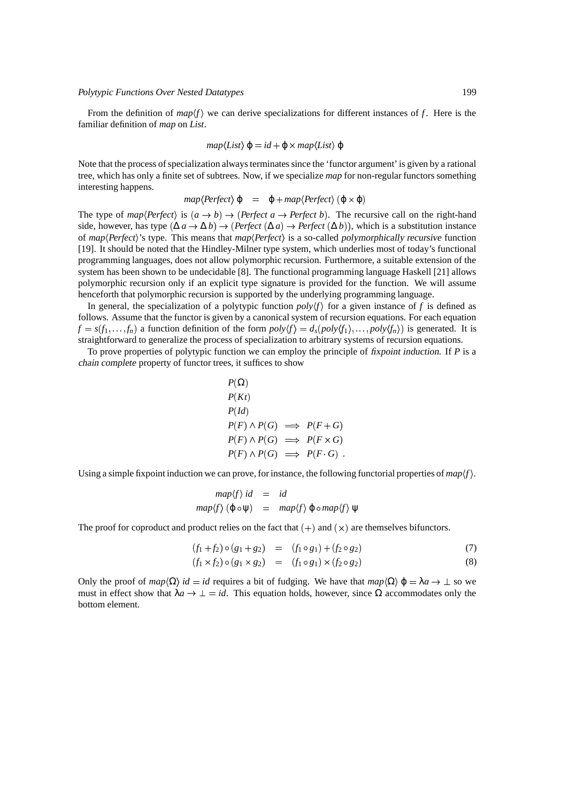From the definition of  $map(f)$  we can derive specializations for different instances of f. Here is the familiar definition of *map* on *List*.

$$
map\langle List\rangle \varphi = id + \varphi \times map\langle List\rangle \varphi
$$

Note that the process of specialization always terminates since the 'functor argument' is given by a rational tree, which has only a finite set of subtrees. Now, if we specialize *map* for non-regular functors something interesting happens.

$$
map\langle Perfect\rangle \varphi = \varphi + map\langle Perfect\rangle (\varphi \times \varphi)
$$

The type of  $map(Perfect)$  is  $(a \rightarrow b) \rightarrow (Perfect \ a \rightarrow Perfect \ b)$ . The recursive call on the right-hand side, however, has type  $(\Delta a \to \Delta b) \to (Perfect (\Delta a) \to Perfect (\Delta b))$ , which is a substitution instance of *map (Perfect*)'s type. This means that *map (Perfect*) is a so-called polymorphically recursive function [19]. It should be noted that the Hindley-Milner type system, which underlies most of today's functional programming languages, does not allow polymorphic recursion. Furthermore, a suitable extension of the system has been shown to be undecidable [8]. The functional programming language Haskell [21] allows polymorphic recursion only if an explicit type signature is provided for the function. We will assume henceforth that polymorphic recursion is supported by the underlying programming language.

In general, the specialization of a polytypic function  $poly(f)$  for a given instance of f is defined as follows. Assume that the functor is given by a canonical system of recursion equations. For each equation  $f = s(f_1,...,f_n)$  a function definition of the form  $poly(f) = d_s(poly(f_1),...,poly(f_n))$  is generated. It is straightforward to generalize the process of specialization to arbitrary systems of recursion equations.

To prove properties of polytypic function we can employ the principle of fixpoint induction. If *P* is a chain complete property of functor trees, it suffices to show

☎

$$
P(\Omega)
$$
  
\n
$$
P(Kt)
$$
  
\n
$$
P(Id)
$$
  
\n
$$
P(F) \land P(G) \implies P(F+G)
$$
  
\n
$$
P(F) \land P(G) \implies P(F \times G)
$$
  
\n
$$
P(F) \land P(G) \implies P(F \cdot G)
$$

Using a simple fixpoint induction we can prove, for instance, the following functorial properties of  $map(f)$ .

$$
map\langle f \rangle id = id
$$
  

$$
map\langle f \rangle (\varphi \circ \psi) = map\langle f \rangle \varphi \circ map\langle f \rangle \psi
$$

The proof for coproduct and product relies on the fact that  $(+)$  and  $(\times)$  are themselves bifunctors.

$$
(f_1 + f_2) \circ (g_1 + g_2) = (f_1 \circ g_1) + (f_2 \circ g_2) \tag{7}
$$

$$
(f_1 \times f_2) \circ (g_1 \times g_2) = (f_1 \circ g_1) \times (f_2 \circ g_2)
$$
 (8)

Only the proof of  $map(\Omega)$  *id* = *id* requires a bit of fudging. We have that  $map(\Omega)$   $\varphi = \lambda a \rightarrow \bot$  so we must in effect show that  $\lambda a \to \bot = id$ . This equation holds, however, since  $\Omega$  accommodates only the bottom element.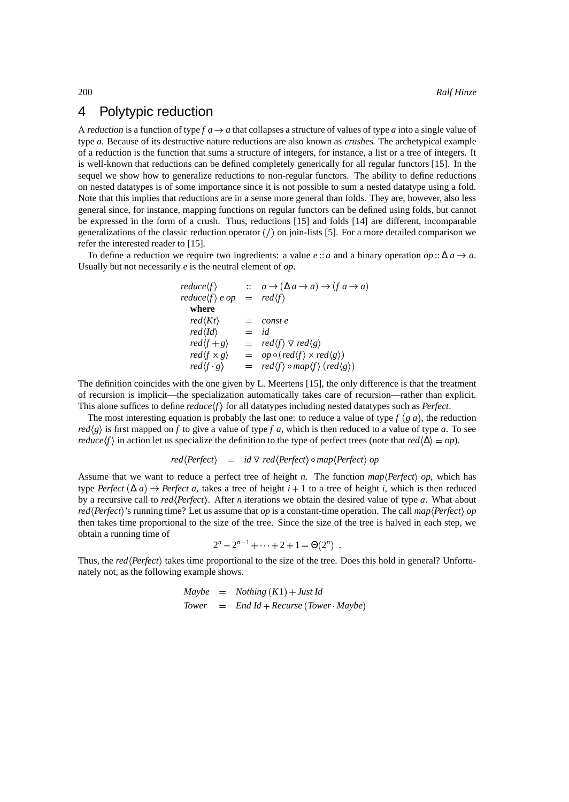## 4 Polytypic reduction

A reduction is a function of type  $f \cdot a \to a$  that collapses a structure of values of type *a* into a single value of type *a*. Because of its destructive nature reductions are also known as crushes. The archetypical example of a reduction is the function that sums a structure of integers, for instance, a list or a tree of integers. It is well-known that reductions can be defined completely generically for all regular functors [15]. In the sequel we show how to generalize reductions to non-regular functors. The ability to define reductions on nested datatypes is of some importance since it is not possible to sum a nested datatype using a fold. Note that this implies that reductions are in a sense more general than folds. They are, however, also less general since, for instance, mapping functions on regular functors can be defined using folds, but cannot be expressed in the form of a crush. Thus, reductions [15] and folds [14] are different, incomparable generalizations of the classic reduction operator  $\binom{7}{0}$  on join-lists [5]. For a more detailed comparison we refer the interested reader to [15].

To define a reduction we require two ingredients: a value  $e$  :: *a* and a binary operation *op* ::  $\Delta a \rightarrow a$ . Usually but not necessarily *e* is the neutral element of *op*.

> $reduce(f)$  $\rightarrow (\Delta a \rightarrow a) \rightarrow (f a \rightarrow a)$  $reduce \langle f \rangle e op = red \langle f \rangle$ **where**  $red\langle Kt \rangle$  = const e  $red \langle Id \rangle$  = *id*  $\text{red}(f+g) = \text{red}(f) \vee \text{red}(g)$  $\text{red}\langle f \times g \rangle$  =  $\text{op} \circ (\text{red}\langle f \rangle \times \text{red}\langle g \rangle)$ *red* $\langle f \cdot$  $g$   $=$   $red \langle f \rangle$   $\circ$   $map \langle f \rangle$   $(red \langle g \rangle)$

The definition coincides with the one given by L. Meertens [15], the only difference is that the treatment of recursion is implicit—the specialization automatically takes care of recursion—rather than explicit. This alone suffices to define  $reduce(f)$  for all datatypes including nested datatypes such as *Perfect*.

The most interesting equation is probably the last one: to reduce a value of type  $f(g, a)$ , the reduction  $red \langle g \rangle$  is first mapped on *f* to give a value of type *f a*, which is then reduced to a value of type *a*. To see *reduce* $(f)$  in action let us specialize the definition to the type of perfect trees (note that  $red(\Delta) = op$ ).

$$
red\langle Perfect\rangle = id \triangledown red\langle Perfect\rangle \circ map\langle Perfect\rangle op
$$

Assume that we want to reduce a perfect tree of height *n*. The function  $map\langle Perfect\rangle op$ , which has type *Perfect* ( $\Delta a$ )  $\rightarrow$  *Perfect a*, takes a tree of height *i* + 1 to a tree of height *i*, which is then reduced by a recursive call to *red* (*Perfect*). After *n* iterations we obtain the desired value of type *a*. What about *red* (Perfect)'s running time? Let us assume that *op* is a constant-time operation. The call *map* (Perfect) *op* then takes time proportional to the size of the tree. Since the size of the tree is halved in each step, we obtain a running time of

$$
2^{n} + 2^{n-1} + \cdots + 2 + 1 = \Theta(2^{n}).
$$

Thus, the *red*  $\langle Perfect\rangle$  takes time proportional to the size of the tree. Does this hold in general? Unfortunately not, as the following example shows.

$$
Maybe = Nothing (K1) + Just Id
$$
  

$$
Tower = End Id + Recurse (Tower \cdot Maybe)
$$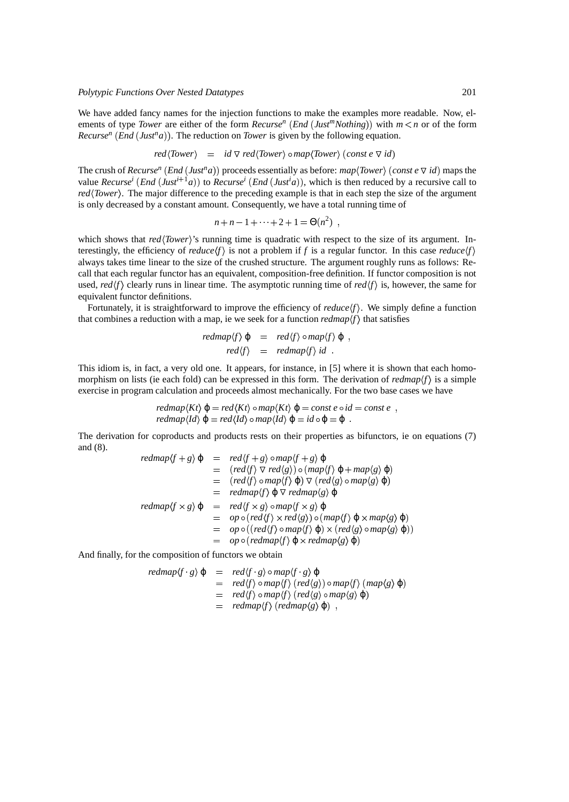#### *Polytypic Functions Over Nested Datatypes* 201

We have added fancy names for the injection functions to make the examples more readable. Now, elements of type *Tower* are either of the form *Recurse<sup>n</sup>* (*End* (*Just<sup>m</sup>Nothing*)) with  $m < n$  or of the form *Recurse<sup>n</sup>* (*End* (*Just<sup>n</sup>a*)). The reduction on *Tower* is given by the following equation.

$$
red\langle Tower \rangle = id \nabla red\langle Tower \rangle \circ map\langle Tower \rangle \, (const \, e \, \nabla id)
$$

The crush of *Recurse<sup>n</sup>* (*End* (*Just<sup>n</sup>a*)) proceeds essentially as before: *map*  $\langle Tower \rangle$  (*const e*  $\triangledown$  *id*) maps the value *Recurse<sup>i</sup>* (*End* (*Just*<sup>*i*+1</sup>*a*)) to *Recurse<sup><i>i*</sup> (*End* (*Just<sup><i>i*</sup>a)), which is then reduced by a recursive call to *red* (Tower). The major difference to the preceding example is that in each step the size of the argument is only decreased by a constant amount. Consequently, we have a total running time of

$$
n+n-1+\cdots+2+1=\Theta(n^2) ,
$$

which shows that *red* \'Iower''s running time is quadratic with respect to the size of its argument. Interestingly, the efficiency of  $reduce(f)$  is not a problem if f is a regular functor. In this case  $reduce(f)$ always takes time linear to the size of the crushed structure. The argument roughly runs as follows: Recall that each regular functor has an equivalent, composition-free definition. If functor composition is not used,  $red(f)$  clearly runs in linear time. The asymptotic running time of  $red(f)$  is, however, the same for equivalent functor definitions.

Fortunately, it is straightforward to improve the efficiency of  $reduce(f)$ . We simply define a function that combines a reduction with a map, ie we seek for a function  $redmap\{f\}$  that satisfies

$$
redmap\langle f \rangle \varphi = red\langle f \rangle \circ map\langle f \rangle \varphi ,
$$
  
 $red\langle f \rangle = redmap\langle f \rangle id .$ 

This idiom is, in fact, a very old one. It appears, for instance, in [5] where it is shown that each homomorphism on lists (ie each fold) can be expressed in this form. The derivation of  $redmap \langle f \rangle$  is a simple exercise in program calculation and proceeds almost mechanically. For the two base cases we have

$$
redmap\langle Kt\rangle \varphi = red\langle Kt\rangle \circ map\langle Kt\rangle \varphi = const \, e \circ id = const \, e
$$
,  
\n $redmap\langle Id\rangle \varphi = red\langle Id\rangle \circ map\langle Id\rangle \varphi = id \circ \varphi = \varphi$ .

The derivation for coproducts and products rests on their properties as bifunctors, ie on equations (7) and (8).

$$
redmap\langle f+g\rangle \varphi = red\langle f+g\rangle \circ map \langle f+g\rangle \varphi
$$
  
\n
$$
= (red\langle f\rangle \nabla red\langle g\rangle) \circ (map\langle f\rangle \varphi + map\langle g\rangle \varphi)
$$
  
\n
$$
= (red\langle f\rangle \circ map \langle f\rangle \varphi) \nabla (red\langle g\rangle \circ map \langle g\rangle \varphi)
$$
  
\n
$$
= redmap\langle f\rangle \varphi \nabla redmap\langle g\rangle \varphi
$$
  
\n
$$
redmap\langle f \times g\rangle \varphi = red\langle f \times g\rangle \circ map \langle f \times g\rangle \varphi
$$
  
\n
$$
= op \circ (red\langle f\rangle \circ map \langle f\rangle \varphi) \circ (map\langle f\rangle \varphi \times map \langle g\rangle \varphi)
$$
  
\n
$$
= op \circ (red\langle f\rangle \circ map \langle f\rangle \varphi) \times (red\langle g\rangle \circ map \langle g\rangle \varphi))
$$
  
\n
$$
= op \circ (redmap\langle f\rangle \varphi \times redmap\langle g\rangle \varphi)
$$

And finally, for the composition of functors we obtain

$$
redmap\langle f \cdot g \rangle \varphi = red\langle f \cdot g \rangle \circ map \langle f \cdot g \rangle \varphi
$$
  
= red\langle f \rangle \circ map \langle f \rangle (red\langle g \rangle) \circ map \langle f \rangle (map\langle g \rangle \varphi)  
= red\langle f \rangle \circ map \langle f \rangle (red\langle g \rangle \circ map \langle g \rangle \varphi)   
= redmap\langle f \rangle (redmap\langle g \rangle \varphi) ,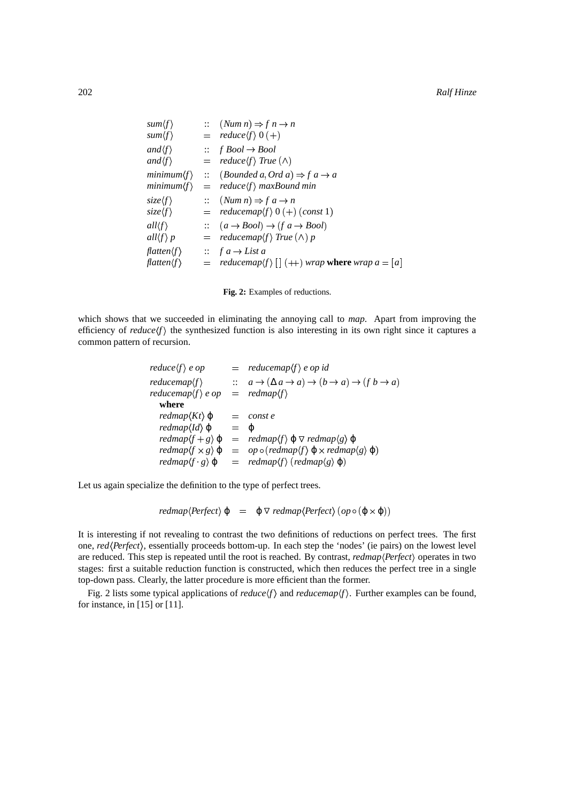| $sum\langle f \rangle$                |                        | $\therefore$ (Num n) $\Rightarrow$ f n $\rightarrow$ n                |
|---------------------------------------|------------------------|-----------------------------------------------------------------------|
| $sum\langle f \rangle$                |                        | $=$ reduce $\langle f \rangle 0 (+)$                                  |
| $and \langle f \rangle$               |                        | $\therefore$ f Bool $\rightarrow$ Bool                                |
| $and \langle f \rangle$               |                        | $=$ reduce $\langle f \rangle$ True $(\wedge)$                        |
| minimum(f)                            | $\mathbb{R}^{\bullet}$ | $(Bounded\ a, Ord\ a) \Rightarrow f\ a \rightarrow a$                 |
| minimum(f)                            |                        | $=$ reduce $\langle f \rangle$ maxBound min                           |
| $size\langle f \rangle$               |                        | $\therefore$ (Num n) $\Rightarrow$ f a $\rightarrow$ n                |
| $size\langle f \rangle$               | $=$                    | reducemap $\langle f \rangle$ 0 $(+)$ (const 1)                       |
| $all \langle f \rangle$               |                        | $\therefore$ $(a \rightarrow Bool) \rightarrow (fa \rightarrow Bool)$ |
| all $\langle f \rangle p$             |                        | $=$ reducemap $\langle f \rangle$ True $(\wedge)$ p                   |
| $f$ <i>datten</i> $\langle f \rangle$ |                        | $\therefore$ f a $\rightarrow$ List a                                 |
| $f$ <i>datten</i> $\langle f \rangle$ |                        | reducemap $\langle f \rangle$ $[ \ ] (+ )$ wrap where wrap $a = [a]$  |



which shows that we succeeded in eliminating the annoying call to *map*. Apart from improving the efficiency of  $reduce(f)$  the synthesized function is also interesting in its own right since it captures a common pattern of recursion.

| reduce $\langle f \rangle$ e op             |                   | $=$ reducemap $\langle f \rangle$ e op id                                                                         |
|---------------------------------------------|-------------------|-------------------------------------------------------------------------------------------------------------------|
| reduceman(f)                                |                   | $\therefore a \rightarrow (\Delta a \rightarrow a) \rightarrow (b \rightarrow a) \rightarrow (f b \rightarrow a)$ |
| reducemap $\langle f \rangle$ e op          |                   | $=$ redmap $\langle f \rangle$                                                                                    |
| where                                       |                   |                                                                                                                   |
| $redmap\langle Kt\rangle \varphi$           | $\equiv$ $\equiv$ | const e                                                                                                           |
| $redmap\langle Id \rangle \varphi$          | $=$               | $\mathcal{O}$                                                                                                     |
| $redmap\langle f+g\rangle \varphi$          |                   | $= \text{redmap}\langle f \rangle \varphi \vee \text{redmap}\langle g \rangle \varphi$                            |
| $redmap \langle f \times g \rangle \varphi$ |                   | $=$ op $\circ$ (redmap $\langle f \rangle \varphi \times$ redmap $\langle g \rangle \varphi$ )                    |
| $redmap\langle f \cdot g \rangle \varphi$   |                   | $=$ redmap $\langle f \rangle$ (redmap $\langle g \rangle \varphi$ )                                              |

Let us again specialize the definition to the type of perfect trees.

 $redmap\langle Perfect\rangle \varphi = \varphi \triangledown redmap\langle Perfect\rangle (op \circ (\varphi \times \varphi))$ 

It is interesting if not revealing to contrast the two definitions of reductions on perfect trees. The first one, red(Perfect), essentially proceeds bottom-up. In each step the 'nodes' (ie pairs) on the lowest level are reduced. This step is repeated until the root is reached. By contrast, *redmap* $\langle$ *Perfect* $\rangle$  operates in two stages: first a suitable reduction function is constructed, which then reduces the perfect tree in a single top-down pass. Clearly, the latter procedure is more efficient than the former.

Fig. 2 lists some typical applications of *reduce*  $\langle f \rangle$  and *reducemap* $\langle f \rangle$ . Further examples can be found, for instance, in [15] or [11].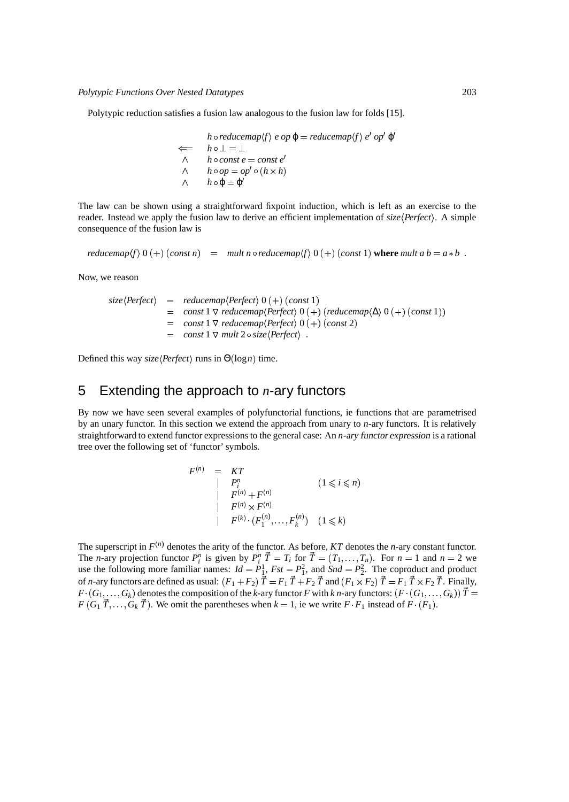Polytypic reduction satisfies a fusion law analogous to the fusion law for folds [15].

$$
h \circ reducemap\langle f \rangle e op \varphi = reducemap\langle f \rangle e' op' \varphi
$$
  
\n
$$
\iff h \circ \bot = \bot
$$
  
\n
$$
\land \qquad h \circ const \, e = const \, e'
$$
  
\n
$$
\land \qquad h \circ op = op' \circ (h \times h)
$$
  
\n
$$
\land \qquad h \circ \varphi = \varphi'
$$

The law can be shown using a straightforward fixpoint induction, which is left as an exercise to the reader. Instead we apply the fusion law to derive an efficient implementation of *size* (Perfect). A simple consequence of the fusion law is

 $r = r$  *reducemap* $\langle f \rangle$  0  $(+)$   $(\text{const } n)$  =  $\langle f \rangle$  *mult n*  $\circ$  *reducemap* $\langle f \rangle$  0  $(+)$   $(\text{const } 1)$  where *mult a b* =  $a * b$ .

Now, we reason

$$
size\langle Perfect\rangle = reducemap\langle Perfect\rangle 0 (+) (const 1)
$$
  
= const 1  $\triangledown$  reducemap\langle Perfect\rangle 0 (+) (reducemap\langle\Delta\rangle 0 (+) (const 1))  
= const 1  $\triangledown$  reducemap\langle Perfect\rangle 0 (+) (const 2)  
= const 1  $\triangledown$  mult 2  $\circ$  size\langle Perfect\rangle .

Defined this way *size* (*Perfect*) runs in Θ(log*n*) time.

## 5 Extending the approach to *n*-ary functors

By now we have seen several examples of polyfunctorial functions, ie functions that are parametrised by an unary functor. In this section we extend the approach from unary to *n*-ary functors. It is relatively straightforward to extend functor expressions to the general case: An *n*-ary functor expression is a rational tree over the following set of 'functor' symbols.

$$
F^{(n)} = KT
$$
  
\n
$$
\begin{array}{ccc}\n & P_i^n & (1 \leq i \leq n) \\
 & F^{(n)} + F^{(n)} & \\
 & & F^{(n)} \times F^{(n)} \\
 & & & F^{(k)} \cdot (F_1^{(n)}, \dots, F_k^{(n)}) & (1 \leq k)\n\end{array}
$$

The superscript in  $F^{(n)}$  denotes the arity of the functor. As before, *KT* denotes the *n*-ary constant functor. The *n*-ary projection functor  $P_i^n$  is given by  $P_i^n \vec{T} = T_i$  for  $\vec{T} = (T_1, ..., T_n)$ . For  $n = 1$  and  $n = 2$  we use the following more familiar names:  $Id = P_1^1$ ,  $Fst = P_1^2$ , and  $Snd = P_2^2$ . The coproduct and product of *n*-ary functors are defined as usual:  $(F_1 + F_2) \vec{T} = F_1 \vec{T} + F_2 \vec{T}$  and  $(F_1 \times F_2) \vec{T} = F_1 \vec{T} \times F_2 \vec{T}$ . Finally,  $F\cdot(G_1,\ldots,G_k)$  denotes the composition of the  $k$ -ary functor  $F$  with  $k$   $n$ -ary functors:  $(F\cdot(G_1,\ldots,G_k))$   $\vec{T}$   $=$  $F(G_1, T, \ldots, G_k, T)$ . We omit the parentheses when  $k = 1$ , ie we write  $F \cdot F_1$  instead of  $F \cdot (F_1)$ .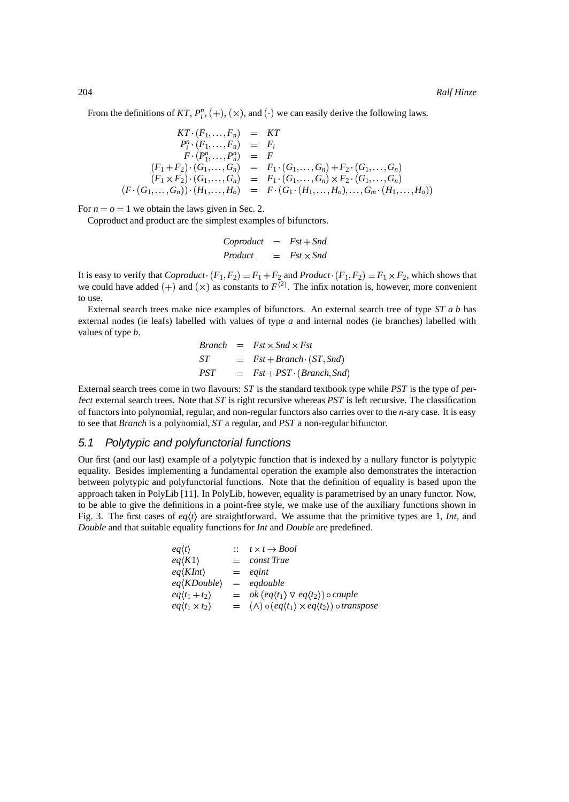From the definitions of  $KT$ ,  $P_i^n$ ,  $(+)$ ,  $(\times)$ , and  $(\cdot)$  we can easily derive the following laws.

$$
KT \cdot (F_1, \ldots, F_n) = KT
$$
  
\n
$$
P_i^n \cdot (F_1, \ldots, F_n) = F_i
$$
  
\n
$$
F \cdot (P_1^n, \ldots, P_n^n) = F
$$
  
\n
$$
(F_1 + F_2) \cdot (G_1, \ldots, G_n) = F_1 \cdot (G_1, \ldots, G_n) + F_2 \cdot (G_1, \ldots, G_n)
$$
  
\n
$$
(F \cdot (G_1, \ldots, G_n)) \cdot (H_1, \ldots, H_0) = F \cdot (G_1 \cdot (H_1, \ldots, H_0), \ldots, G_m \cdot (H_1, \ldots, H_0))
$$

For  $n = 0 = 1$  we obtain the laws given in Sec. 2.

Coproduct and product are the simplest examples of bifunctors.

Copyroduct

\n
$$
= \quad \text{Fst} + \quad \text{Snd}
$$
\n
$$
Product = \quad \text{Fst} \times \quad \text{Snd}
$$

It is easy to verify that  $Coproduction \cdot (F_1, F_2) = F_1 + F_2$  and  $Product \cdot (F_1, F_2) = F_1 \times F_2$ , which shows that we could have added  $(+)$  and  $(x)$  as constants to  $F<sup>(2)</sup>$ . The infix notation is, however, more convenient to use.

External search trees make nice examples of bifunctors. An external search tree of type *ST a b* has external nodes (ie leafs) labelled with values of type *a* and internal nodes (ie branches) labelled with values of type *b*.

$$
Branch = Fst \times Snd \times Fst
$$
  
\n
$$
ST = Fst + Branch \cdot (ST, Snd)
$$
  
\n
$$
PST = Fst + PST \cdot (Branch, Snd)
$$

External search trees come in two flavours: *ST* is the standard textbook type while *PST* is the type of perfect external search trees. Note that *ST* is right recursive whereas *PST* is left recursive. The classification of functors into polynomial, regular, and non-regular functors also carries over to the *n*-ary case. It is easy to see that *Branch* is a polynomial, *ST* a regular, and *PST* a non-regular bifunctor.

### 5.1 Polytypic and polyfunctorial functions

Our first (and our last) example of a polytypic function that is indexed by a nullary functor is polytypic equality. Besides implementing a fundamental operation the example also demonstrates the interaction between polytypic and polyfunctorial functions. Note that the definition of equality is based upon the approach taken in PolyLib [11]. In PolyLib, however, equality is parametrised by an unary functor. Now, to be able to give the definitions in a point-free style, we make use of the auxiliary functions shown in Fig. 3. The first cases of  $eq(t)$  are straightforward. We assume that the primitive types are 1, *Int*, and *Double* and that suitable equality functions for *Int* and *Double* are predefined.

| $\therefore$ $t \times t \rightarrow Bool$                                              |
|-----------------------------------------------------------------------------------------|
| $=$ const True                                                                          |
| $=$ eqint                                                                               |
| $=$ eqdouble                                                                            |
| $=$ ok $\left( eq\langle t_1 \rangle \nabla eq\langle t_2 \rangle \right)$ o couple     |
| $= (\wedge) \circ (eq\langle t_1 \rangle \times eq\langle t_2 \rangle) \circ transpose$ |
|                                                                                         |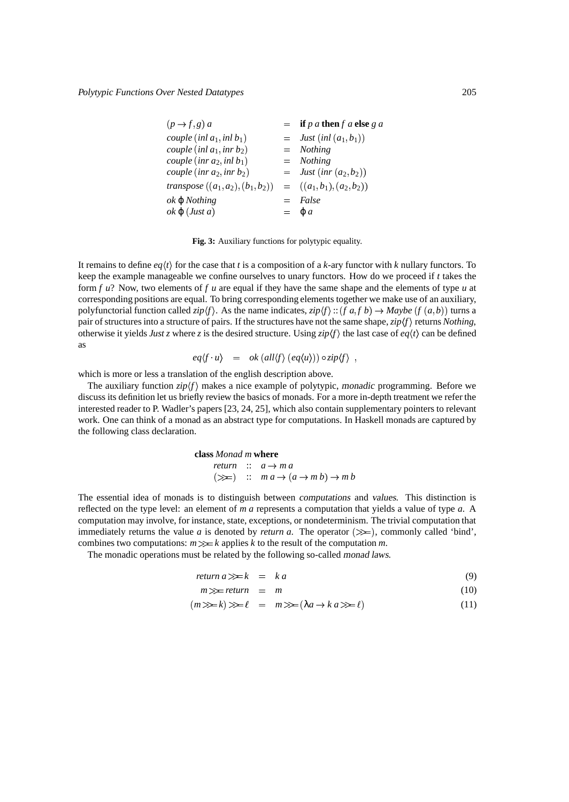| $(p \rightarrow f, g) a$                                  | $=$ if p a then f a else g a |
|-----------------------------------------------------------|------------------------------|
| couple (inl $a_1$ , inl $b_1$ )                           | $=$ Just (inl $(a_1,b_1)$ )  |
| couple (inl $a_1$ , inr $b_2$ )                           | $=$ Nothing                  |
| couple (inr $a_2$ , inl $b_1$ )                           | $=$ Nothing                  |
| couple (inr $a_2$ , inr $b_2$ )                           | $=$ Just (inr $(a_2,b_2)$ )  |
| transpose $((a_1,a_2),(b_1,b_2)) = ((a_1,b_1),(a_2,b_2))$ |                              |
| <i>ok</i> φ <i>Nothing</i>                                | $=$ False                    |
| $ok \varphi$ ( <i>Just a</i> )                            | $= \varphi a$                |

**Fig. 3:** Auxiliary functions for polytypic equality.

It remains to define  $eq(t)$  for the case that *t* is a composition of a *k*-ary functor with *k* nullary functors. To keep the example manageable we confine ourselves to unary functors. How do we proceed if *t* takes the form *f u*? Now, two elements of *f u* are equal if they have the same shape and the elements of type *u* at corresponding positions are equal. To bring corresponding elements together we make use of an auxiliary, polyfunctorial function called  $zip\langle f \rangle$ . As the name indicates,  $zip\langle f \rangle$  ::  $(f a,f b) \rightarrow Mapb$  ( $f (a,b)$ ) turns a pair of structures into a structure of pairs. If the structures have not the same shape,  $zip/f$  returns *Nothing*, otherwise it yields *Just z* where *z* is the desired structure. Using  $\frac{zip}{f}$  the last case of  $eq(t)$  can be defined as

$$
eq\langle f \cdot u \rangle = ok \left( \frac{all\langle f \rangle \left( eq\langle u \rangle \right)}{)} \circ \frac{zip\langle f \rangle}{},
$$

which is more or less a translation of the english description above.

The auxiliary function *zip*  $\langle f \rangle$  makes a nice example of polytypic, monadic programming. Before we discuss its definition let us briefly review the basics of monads. For a more in-depth treatment we refer the interested reader to P. Wadler's papers [23, 24, 25], which also contain supplementary pointers to relevant work. One can think of a monad as an abstract type for computations. In Haskell monads are captured by the following class declaration.

> **class** *Monad m* **where**  $return :: a \rightarrow ma$  $(\gg \equiv)$  ::  $m a \rightarrow (a \rightarrow m b) \rightarrow m b$

The essential idea of monads is to distinguish between computations and values. This distinction is reflected on the type level: an element of *m a* represents a computation that yields a value of type *a*. A computation may involve, for instance, state, exceptions, or nondeterminism. The trivial computation that immediately returns the value *a* is denoted by *return a*. The operator  $(\gg)$ , commonly called 'bind', combines two computations:  $m \gg k$  applies k to the result of the computation m.

The monadic operations must be related by the following so-called monad laws.

$$
return a \gg k = ka \tag{9}
$$

$$
m \gg t = return = m \tag{10}
$$

$$
(m \gg k) \gg \ell = m \gg ( \lambda a \to k a \gg \ell ) \tag{11}
$$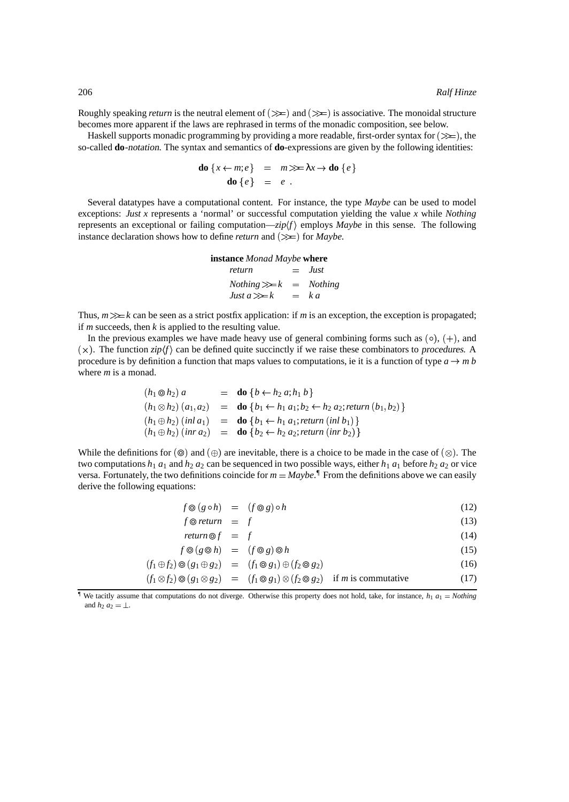Roughly speaking *return* is the neutral element of  $(\gg)$  and  $(\gg)$  is associative. The monoidal structure becomes more apparent if the laws are rephrased in terms of the monadic composition, see below.

Haskell supports monadic programming by providing a more readable, first-order syntax for  $(\gg_E)$ , the so-called **do**-notation. The syntax and semantics of **do**-expressions are given by the following identities:

$$
\mathbf{do}\{x \leftarrow m; e\} = m \ggg \lambda x \rightarrow \mathbf{do}\{e\}
$$

$$
\mathbf{do}\{e\} = e.
$$

Several datatypes have a computational content. For instance, the type *Maybe* can be used to model exceptions: *Just x* represents a 'normal' or successful computation yielding the value *x* while *Nothing* represents an exceptional or failing computation— $zip(f)$  employs  $Mape$  in this sense. The following instance declaration shows how to define *return* and  $(\gg)$  for *Maybe*.

#### **instance** *Monad Maybe* **where**

*return* ✁ *Just*  $Nothing \gg k = Nothing$  $Just a \gg k = ka$ 

Thus,  $m \gg k$  can be seen as a strict postfix application: if *m* is an exception, the exception is propagated; if *m* succeeds, then *k* is applied to the resulting value.

In the previous examples we have made heavy use of general combining forms such as  $(\circ)$ ,  $(+)$ , and  $(\times)$ . The function *zip* $\langle f \rangle$  can be defined quite succinctly if we raise these combinators to procedures. A procedure is by definition a function that maps values to computations, ie it is a function of type  $a \to m b$ where *m* is a monad.

$$
(h_1 \otimes h_2) a = \text{do} \{ b \leftarrow h_2 a; h_1 b \}
$$
  
\n
$$
(h_1 \otimes h_2) (a_1, a_2) = \text{do} \{ b_1 \leftarrow h_1 a_1; b_2 \leftarrow h_2 a_2; return (b_1, b_2) \}
$$
  
\n
$$
(h_1 \oplus h_2) (inl a_1) = \text{do} \{ b_1 \leftarrow h_1 a_1; return (inl b_1) \}
$$
  
\n
$$
(h_1 \oplus h_2) (inr a_2) = \text{do} \{ b_2 \leftarrow h_2 a_2; return (inr b_2) \}
$$

While the definitions for  $(\circledcirc)$  and  $(\oplus)$  are inevitable, there is a choice to be made in the case of  $(\otimes)$ . The two computations  $h_1 a_1$  and  $h_2 a_2$  can be sequenced in two possible ways, either  $h_1 a_1$  before  $h_2 a_2$  or vice versa. Fortunately, the two definitions coincide for  $m = Maybe$ .<sup> $\parallel$ </sup> From the definitions above we can easily derive the following equations:

$$
f \circledcirc (g \circ h) = (f \circledcirc g) \circ h \tag{12}
$$

 $f \otimes return = f$  (13)

$$
return \circledcirc f = f \tag{14}
$$

$$
f \circledcirc (g \circledcirc h) = (f \circledcirc g) \circledcirc h \tag{15}
$$

$$
(f_1 \oplus f_2) \odot (g_1 \oplus g_2) = (f_1 \odot g_1) \oplus (f_2 \odot g_2) \tag{16}
$$

$$
(f_1 \otimes f_2) \otimes (g_1 \otimes g_2) = (f_1 \otimes g_1) \otimes (f_2 \otimes g_2) \quad \text{if } m \text{ is commutative}
$$
 (17)

☎

**<sup>1</sup>** We tacitly assume that computations do not diverge. Otherwise this property does not hold, take, for instance,  $h_1 a_1 = \text{Nothing}$ and  $h_2 a_2 = \perp$ .

☎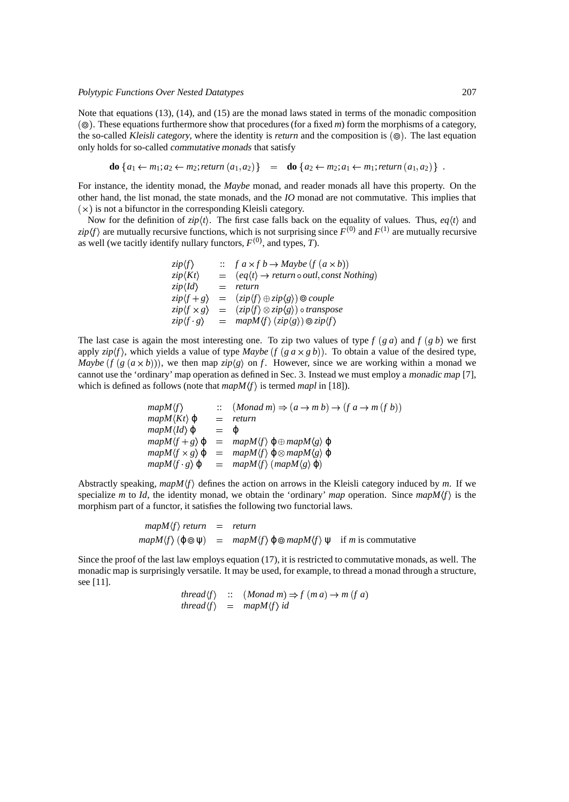Note that equations (13), (14), and (15) are the monad laws stated in terms of the monadic composition ☎✁ ✆ . These equations furthermore show that procedures (for a fixed *m*) form the morphisms of a category, the so-called Kleisli category, where the identity is *return* and the composition is ( $\circledcirc$ ). The last equation only holds for so-called commutative monads that satisfy

**do** 
$$
\{a_1 \leftarrow m_1; a_2 \leftarrow m_2; return (a_1, a_2)\}
$$
 = **do**  $\{a_2 \leftarrow m_2; a_1 \leftarrow m_1; return (a_1, a_2)\}$ .

For instance, the identity monad, the *Maybe* monad, and reader monads all have this property. On the other hand, the list monad, the state monads, and the *IO* monad are not commutative. This implies that  $(\times)$  is not a bifunctor in the corresponding Kleisli category.

Now for the definition of  $zip \langle t \rangle$ . The first case falls back on the equality of values. Thus,  $eq(t)$  and  $\langle zip \rangle$  are mutually recursive functions, which is not surprising since  $F^{(0)}$  and  $F^{(1)}$  are mutually recursive as well (we tacitly identify nullary functors,  $F^{(0)}$ , and types, *T*).

| $zip \langle f \rangle$          |     | $\therefore$ f a $\times$ f b $\rightarrow$ Maybe (f (a $\times$ b))                 |
|----------------------------------|-----|--------------------------------------------------------------------------------------|
| $zip\langle Kt\rangle$           |     | $=$ $(eq\langle t\rangle \rightarrow return \circ outl, const \, Nothing)$           |
| $zip\langle Id \rangle$          | $=$ | return                                                                               |
| $zip \langle f+g \rangle$        |     | $=$ $(zip\langle f\rangle \oplus zip\langle g\rangle) \otimes couple$                |
| $zip \langle f \times g \rangle$ |     | $=$ $(zip\langle f \rangle \otimes zip\langle g \rangle)$ o transpose                |
| $zip\langle f \cdot g \rangle$   |     | = $mapM\langle f \rangle$ (zip $\langle g \rangle$ ) $\otimes zip \langle f \rangle$ |

The last case is again the most interesting one. To zip two values of type  $f(ga)$  and  $f(gb)$  we first apply  $zip\langle f \rangle$ , which yields a value of type *Maybe*  $(f(g \alpha \times g b))$ . To obtain a value of the desired type, *Maybe*  $(f(g(a \times b)))$ , we then map  $\frac{zip(g)}{g}$  on *f*. However, since we are working within a monad we cannot use the 'ordinary' map operation as defined in Sec. 3. Instead we must employ a monadic map [7], which is defined as follows (note that  $mapM\langle f \rangle$  is termed *mapl* in [18]).

> $mapM \langle f \rangle$  $Monad \, m) \Rightarrow (a \rightarrow m \, b) \rightarrow (f \, a \rightarrow m \, (f \, b))$  $mapM\langle Kt\rangle \varphi$  = *return*  $mapM\langle Id \rangle \varphi = \varphi$  $mapM\langle f+g\rangle \varphi = mapM\langle f\rangle \varphi \oplus mapM\langle g\rangle \varphi$  $mapM \langle f \times g \rangle \varphi = mapM \langle f \rangle \varphi \otimes mapM \langle g \rangle \varphi$  $mapM\langle f \cdot g \rangle \varphi = mapM\langle f \rangle (mapM\langle g \rangle \varphi)$

Abstractly speaking,  $mapM(f)$  defines the action on arrows in the Kleisli category induced by *m*. If we specialize *m* to *Id*, the identity monad, we obtain the 'ordinary' *map* operation. Since  $mapM(f)$  is the morphism part of a functor, it satisfies the following two functorial laws.

> $mapM\langle f \rangle$  *return* = *return*  $mapM\langle f \rangle$  ( $\varphi \otimes \psi$ ) =  $mapM\langle f \rangle$   $\varphi \otimes mapM\langle f \rangle$   $\psi$  if *m* is commutative

Since the proof of the last law employs equation (17), it is restricted to commutative monads, as well. The monadic map is surprisingly versatile. It may be used, for example, to thread a monad through a structure, see [11].

> $$  $$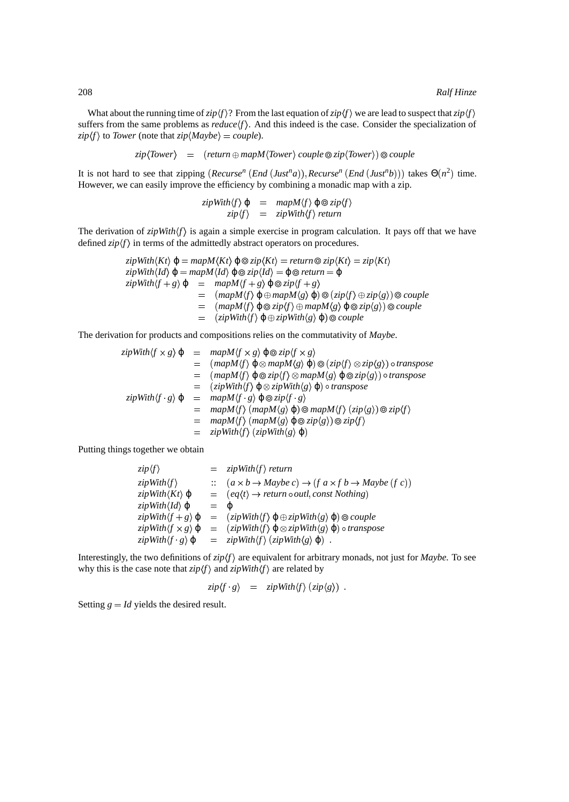What about the running time of  $zip \langle f \rangle$ ? From the last equation of  $zip \langle f \rangle$  we are lead to suspect that  $zip \langle f \rangle$ suffers from the same problems as  $reduce(f)$ . And this indeed is the case. Consider the specialization of  $\langle zip \rangle f$  to *Tower* (note that  $\langle zip \rangle$  *Maybe*) = *couple*).

 $\langle zip \langle \emph{Tower} \rangle \quad = \quad (\emph{return} \oplus \emph{mapM} \langle \emph{Tower} \rangle \; \emph{couple} \otimes \emph{zip} \langle \emph{Tower} \rangle) \otimes \emph{couple}$ 

It is not hard to see that zipping  $(Recursive^n (End (Just^n a)), Recursive^n (End (Just^n b)))$  takes  $\Theta(n^2)$  time. However, we can easily improve the efficiency by combining a monadic map with a zip.

```
\langle zipWith \langle f \rangle \varphi = mapM \langle f \rangle \varphi \otimes zip \langle f \rangle\langle zip \rangle = zipWith \langle f \rangle return
```
The derivation of  $zipWith\langle f \rangle$  is again a simple exercise in program calculation. It pays off that we have defined  $\frac{zip}{f}$  in terms of the admittedly abstract operators on procedures.

$$
zipWith\langle Kt\rangle \varphi = mapM\langle Kt\rangle \varphi \otimes zip\langle Kt\rangle = return \otimes zip\langle Kt\rangle = zip\langle Kt\rangle
$$
  
\n
$$
zipWith\langle Id\rangle \varphi = mapM\langle Id\rangle \varphi \otimes zip\langle Id\rangle = \varphi \otimes return = \varphi
$$
  
\n
$$
zipWith\langle f + g\rangle \varphi = mapM\langle f + g\rangle \varphi \otimes zip\langle f + g\rangle
$$
  
\n
$$
= (mapM\langle f\rangle \varphi \oplus mapM\langle g\rangle \varphi) \otimes (zip\langle f\rangle \oplus zip\langle g\rangle) \otimes couple
$$
  
\n
$$
= (mapM\langle f\rangle \varphi \oplus zip\langle f\rangle \oplus mapM\langle g\rangle \varphi \otimes zip\langle g\rangle) \otimes couple
$$
  
\n
$$
= (zipWith\langle f\rangle \varphi \oplus zipWith\langle g\rangle \varphi) \otimes couple
$$

The derivation for products and compositions relies on the commutativity of *Maybe*.

$$
zipWith \langle f \times g \rangle \varphi = mapM \langle f \times g \rangle \varphi \otimes zip \langle f \times g \rangle
$$
  
\n
$$
= (mapM \langle f \rangle \varphi \otimes mapM \langle g \rangle \varphi) \otimes (zip \langle f \rangle \otimes zip \langle g \rangle) \circ transpose
$$
  
\n
$$
= (mapM \langle f \rangle \varphi \otimes zip \langle f \rangle \otimes mapM \langle g \rangle \varphi \otimes zip \langle g \rangle) \circ transpose
$$
  
\n
$$
= (zipWith \langle f \rangle \varphi \otimes zipWith \langle g \rangle \varphi) \circ transpose
$$
  
\n
$$
zipWith \langle f \cdot g \rangle \varphi = mapM \langle f \cdot g \rangle \varphi \otimes zip \langle f \cdot g \rangle
$$
  
\n
$$
= mapM \langle f \rangle (mapM \langle g \rangle \varphi) \otimes mapM \langle f \rangle (zip \langle g \rangle) \otimes zip \langle f \rangle
$$
  
\n
$$
= mapM \langle f \rangle (mapM \langle g \rangle \varphi \otimes zip \langle g \rangle) \otimes zip \langle f \rangle
$$
  
\n
$$
= zipWith \langle f \rangle (zipWith \langle g \rangle \varphi)
$$

Putting things together we obtain

| $zip \langle f \rangle$                      |       | $=$ zipWith $\langle f \rangle$ return                                                                        |
|----------------------------------------------|-------|---------------------------------------------------------------------------------------------------------------|
| $zipWith \langle f \rangle$                  |       | $\therefore$ $(a \times b \rightarrow Maybe c) \rightarrow (f a \times f b \rightarrow Maybe (f c))$          |
| $zipWith\langle Kt\rangle \varphi$           |       | $=$ $(eq\langle t\rangle \rightarrow return \circ outl, const \, Nothing)$                                    |
| $zipWith\langle Id \rangle \varphi$          | $= 0$ |                                                                                                               |
| $zipWith \langle f+g \rangle \varphi$        |       | $=$ $(zipWith \langle f \rangle \varphi \oplus zipWith \langle g \rangle \varphi) \otimes couple$             |
| $zipWith \langle f \times g \rangle \varphi$ |       | $=$ $(zipWith \langle f \rangle \varphi \otimes zipWith \langle g \rangle \varphi) \circ transpose$           |
|                                              |       | $zipWith \langle f \cdot g \rangle \varphi = zipWith \langle f \rangle (zipWith \langle g \rangle \varphi)$ . |

Interestingly, the two definitions of  $zip/f$  are equivalent for arbitrary monads, not just for *Maybe*. To see why this is the case note that  $\frac{zip}{f}$  and  $\frac{zip}{if}$  are related by

$$
zip\langle f \cdot g \rangle = zipWith\langle f \rangle (zip\langle g \rangle) .
$$

Setting  $g = Id$  yields the desired result.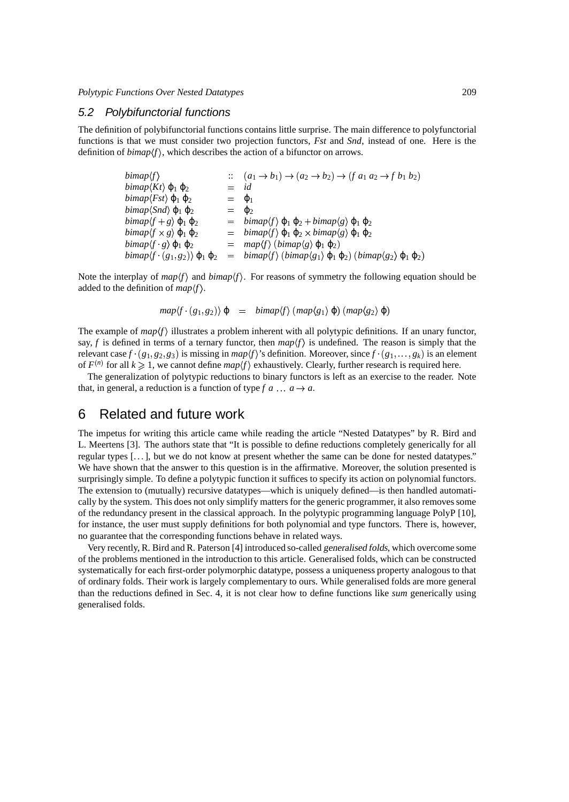#### 5.2 Polybifunctorial functions

The definition of polybifunctorial functions contains little surprise. The main difference to polyfunctorial functions is that we must consider two projection functors, *Fst* and *Snd*, instead of one. Here is the definition of  $bimap(f)$ , which describes the action of a bifunctor on arrows.

| bimap(f)                                                            |                 | $\therefore$ $(a_1 \rightarrow b_1) \rightarrow (a_2 \rightarrow b_2) \rightarrow (f a_1 a_2 \rightarrow f b_1 b_2)$ |
|---------------------------------------------------------------------|-----------------|----------------------------------------------------------------------------------------------------------------------|
| <i>bimap</i> $\langle Kt \rangle$ $\varphi_1 \varphi_2$             | $=$             | id                                                                                                                   |
| <i>bimap</i> $\langle Fst \rangle$ $\varphi_1 \varphi_2$            | $=$ $\varphi_1$ |                                                                                                                      |
| <i>bimap</i> $\langle$ <i>Snd</i> $\rangle$ $\varphi_1$ $\varphi_2$ | $=$ $\Phi$      |                                                                                                                      |
| $bimap(f + g) \varphi_1 \varphi_2$                                  |                 | $= \; \text{bimap}(f) \; \varphi_1 \; \varphi_2 + \text{bimap}(g) \; \varphi_1 \; \varphi_2$                         |
| <i>bimap</i> $\langle f \times g \rangle$ $\varphi_1 \varphi_2$     |                 | = $\binom{1}{2} \oplus_1 \oplus_2 \times \text{bimap}(g) \oplus_1 \oplus_2$                                          |
| <i>bimap</i> $\langle f \ g \rangle \ \varphi_1 \ \varphi_2$        |                 | $= map \langle f \rangle (bimap \langle g \rangle \varphi_1 \varphi_2)$                                              |
| $bimap(f \cdot (g_1, g_2)) \varphi_1 \varphi_2$                     |                 | = $\binom{1}{2}$ (bimap(g <sub>1</sub> ) $\varphi_1 \varphi_2$ ) (bimap(g <sub>2</sub> ) $\varphi_1 \varphi_2$ )     |

Note the interplay of  $map(f)$  and  $bimap(f)$ . For reasons of symmetry the following equation should be added to the definition of  $map\langle f \rangle$ .

$$
map \langle f \cdot (g_1, g_2) \rangle \varphi = \text{bimap} \langle f \rangle \left( \text{map} \langle g_1 \rangle \varphi \right) \left( \text{map} \langle g_2 \rangle \varphi \right)
$$

The example of  $map(f)$  illustrates a problem inherent with all polytypic definitions. If an unary functor, say, *f* is defined in terms of a ternary functor, then  $map \langle f \rangle$  is undefined. The reason is simply that the relevant case  $f \cdot (g_1, g_2, g_3)$  is missing in *map* $\langle f \rangle$ 's definition. Moreover, since  $f \cdot (g_1, \ldots, g_k)$  is an element of  $F^{(n)}$  for all  $k \geq 1$ , we cannot define  $map \langle f \rangle$  exhaustively. Clearly, further research is required here.

The generalization of polytypic reductions to binary functors is left as an exercise to the reader. Note that, in general, a reduction is a function of type  $f \circ a \dots a \rightarrow a$ .

## 6 Related and future work

The impetus for writing this article came while reading the article "Nested Datatypes" by R. Bird and L. Meertens [3]. The authors state that "It is possible to define reductions completely generically for all regular types [. . . ], but we do not know at present whether the same can be done for nested datatypes." We have shown that the answer to this question is in the affirmative. Moreover, the solution presented is surprisingly simple. To define a polytypic function it suffices to specify its action on polynomial functors. The extension to (mutually) recursive datatypes—which is uniquely defined—is then handled automatically by the system. This does not only simplify matters for the generic programmer, it also removes some of the redundancy present in the classical approach. In the polytypic programming language PolyP [10], for instance, the user must supply definitions for both polynomial and type functors. There is, however, no guarantee that the corresponding functions behave in related ways.

Very recently, R. Bird and R. Paterson [4] introduced so-called generalised folds, which overcome some of the problems mentioned in the introduction to this article. Generalised folds, which can be constructed systematically for each first-order polymorphic datatype, possess a uniqueness property analogous to that of ordinary folds. Their work is largely complementary to ours. While generalised folds are more general than the reductions defined in Sec. 4, it is not clear how to define functions like *sum* generically using generalised folds.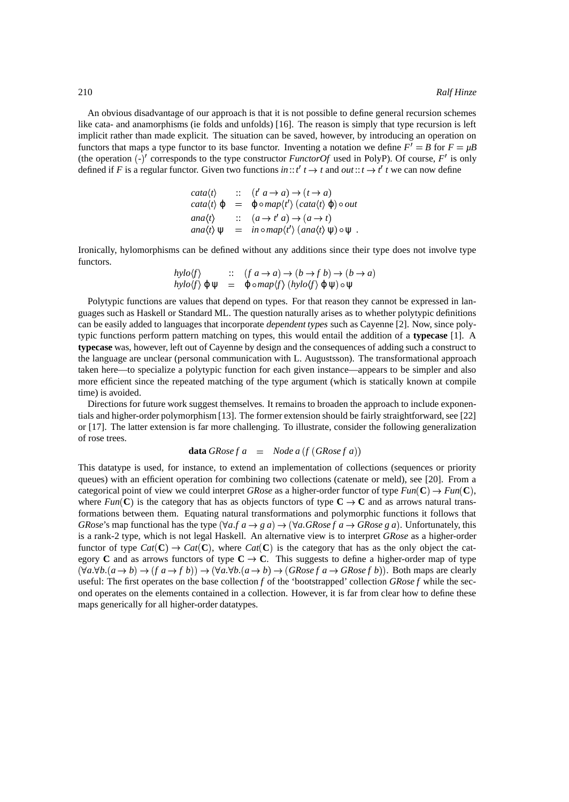An obvious disadvantage of our approach is that it is not possible to define general recursion schemes like cata- and anamorphisms (ie folds and unfolds) [16]. The reason is simply that type recursion is left implicit rather than made explicit. The situation can be saved, however, by introducing an operation on functors that maps a type functor to its base functor. Inventing a notation we define  $F' = B$  for  $F = \mu B$ (the operation  $\left(\frac{\cdot}{\cdot}\right)'$  corresponds to the type constructor *FunctorOf* used in PolyP). Of course,  $F'$  is only defined if *F* is a regular functor. Given two functions  $\text{in}$  ::: $t'$   $t \to t$  and  $\text{out}$  ::: $t \to t'$   $t$  we can now define

\n
$$
\text{cata}(t) \quad \text{::} \quad (t' \, a \rightarrow a) \rightarrow (t \rightarrow a)
$$
\n

\n\n $\text{cata}(t) \, \varphi \quad = \quad \varphi \circ \text{map}(t') \, (\text{cata}(t) \, \varphi) \circ \text{out}$ \n

\n\n $\text{ana}(t) \quad \text{::} \quad (a \rightarrow t' \, a) \rightarrow (a \rightarrow t)$ \n

\n\n $\text{ana}(t) \, \psi \quad = \quad \text{in} \circ \text{map}(t') \, (\text{ana}(t) \, \psi) \circ \psi \, .$ \n

Ironically, hylomorphisms can be defined without any additions since their type does not involve type functors.

$$
\begin{array}{lll}\nhylo\langle f\rangle & :: & (f a \to a) \to (b \to f b) \to (b \to a) \\
hylo\langle f\rangle \varphi \psi & = & \varphi \circ map\langle f\rangle \ (hylo\langle f\rangle \varphi \psi) \circ \psi\n\end{array}
$$

Polytypic functions are values that depend on types. For that reason they cannot be expressed in languages such as Haskell or Standard ML. The question naturally arises as to whether polytypic definitions can be easily added to languages that incorporate dependent types such as Cayenne [2]. Now, since polytypic functions perform pattern matching on types, this would entail the addition of a **typecase** [1]. A **typecase** was, however, left out of Cayenne by design and the consequences of adding such a construct to the language are unclear (personal communication with L. Augustsson). The transformational approach taken here—to specialize a polytypic function for each given instance—appears to be simpler and also more efficient since the repeated matching of the type argument (which is statically known at compile time) is avoided.

Directions for future work suggest themselves. It remains to broaden the approach to include exponentials and higher-order polymorphism [13]. The former extension should be fairly straightforward, see [22] or [17]. The latter extension is far more challenging. To illustrate, consider the following generalization of rose trees.

**data** *GRosef* 
$$
a =
$$
 *Node*  $a(f(GRosef a))$ 

This datatype is used, for instance, to extend an implementation of collections (sequences or priority queues) with an efficient operation for combining two collections (catenate or meld), see [20]. From a categorical point of view we could interpret *GRose* as a higher-order functor of type  $Fun(\mathbb{C}) \to Fun(\mathbb{C})$ , where  $Fun(\mathbb{C})$  is the category that has as objects functors of type  $\mathbb{C} \to \mathbb{C}$  and as arrows natural transformations between them. Equating natural transformations and polymorphic functions it follows that *GRose*'s map functional has the type  $(\forall a \, a \rightarrow g \, a) \rightarrow (\forall a \, GRose \, f \, a \rightarrow GRose \, g \, a)$ . Unfortunately, this is a rank-2 type, which is not legal Haskell. An alternative view is to interpret *GRose* as a higher-order functor of type  $Cat(C) \rightarrow Cat(C)$ , where  $Cat(C)$  is the category that has as the only object the category **C** and as arrows functors of type  $C \rightarrow C$ . This suggests to define a higher-order map of type  $(\forall a \forall b. (a \rightarrow b) \rightarrow (f a \rightarrow f b)) \rightarrow (\forall a \forall b. (a \rightarrow b) \rightarrow (G R \text{ose} f a \rightarrow G R \text{ose} f b)).$  Both maps are clearly useful: The first operates on the base collection *f* of the 'bootstrapped' collection *GRose f* while the second operates on the elements contained in a collection. However, it is far from clear how to define these maps generically for all higher-order datatypes.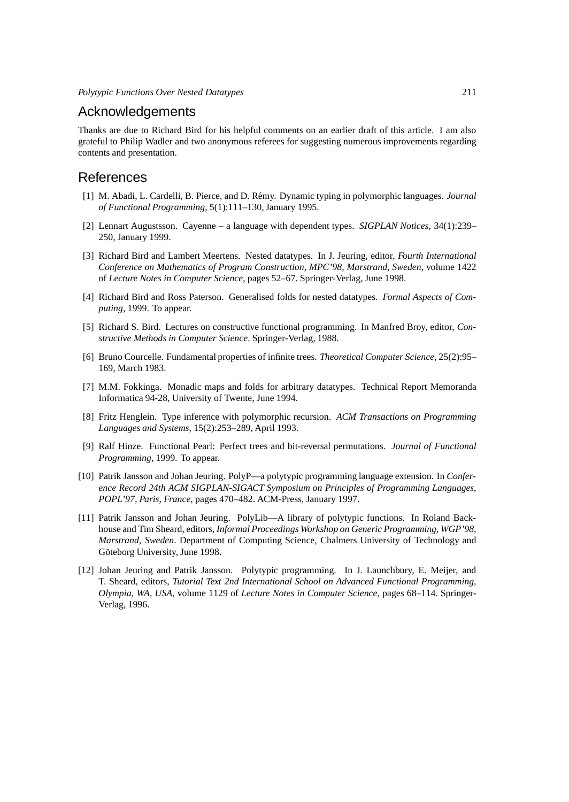## Acknowledgements

Thanks are due to Richard Bird for his helpful comments on an earlier draft of this article. I am also grateful to Philip Wadler and two anonymous referees for suggesting numerous improvements regarding contents and presentation.

## References

- [1] M. Abadi, L. Cardelli, B. Pierce, and D. R´emy. Dynamic typing in polymorphic languages. *Journal of Functional Programming*, 5(1):111–130, January 1995.
- [2] Lennart Augustsson. Cayenne a language with dependent types. *SIGPLAN Notices*, 34(1):239– 250, January 1999.
- [3] Richard Bird and Lambert Meertens. Nested datatypes. In J. Jeuring, editor, *Fourth International Conference on Mathematics of Program Construction, MPC'98, Marstrand, Sweden*, volume 1422 of *Lecture Notes in Computer Science*, pages 52–67. Springer-Verlag, June 1998.
- [4] Richard Bird and Ross Paterson. Generalised folds for nested datatypes. *Formal Aspects of Computing*, 1999. To appear.
- [5] Richard S. Bird. Lectures on constructive functional programming. In Manfred Broy, editor, *Constructive Methods in Computer Science*. Springer-Verlag, 1988.
- [6] Bruno Courcelle. Fundamental properties of infinite trees. *Theoretical Computer Science*, 25(2):95– 169, March 1983.
- [7] M.M. Fokkinga. Monadic maps and folds for arbitrary datatypes. Technical Report Memoranda Informatica 94-28, University of Twente, June 1994.
- [8] Fritz Henglein. Type inference with polymorphic recursion. *ACM Transactions on Programming Languages and Systems*, 15(2):253–289, April 1993.
- [9] Ralf Hinze. Functional Pearl: Perfect trees and bit-reversal permutations. *Journal of Functional Programming*, 1999. To appear.
- [10] Patrik Jansson and Johan Jeuring. PolyP—a polytypic programming language extension. In *Conference Record 24th ACM SIGPLAN-SIGACT Symposium on Principles of Programming Languages, POPL'97, Paris, France*, pages 470–482. ACM-Press, January 1997.
- [11] Patrik Jansson and Johan Jeuring. PolyLib—A library of polytypic functions. In Roland Backhouse and Tim Sheard, editors, *Informal Proceedings Workshop on Generic Programming, WGP'98, Marstrand, Sweden*. Department of Computing Science, Chalmers University of Technology and Göteborg University, June 1998.
- [12] Johan Jeuring and Patrik Jansson. Polytypic programming. In J. Launchbury, E. Meijer, and T. Sheard, editors, *Tutorial Text 2nd International School on Advanced Functional Programming, Olympia, WA, USA*, volume 1129 of *Lecture Notes in Computer Science*, pages 68–114. Springer-Verlag, 1996.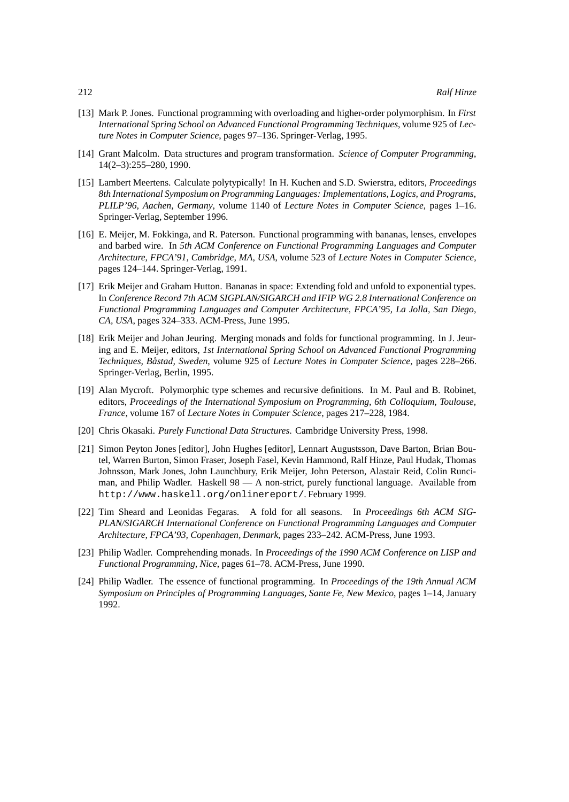- [13] Mark P. Jones. Functional programming with overloading and higher-order polymorphism. In *First International Spring School on Advanced Functional Programming Techniques*, volume 925 of *Lecture Notes in Computer Science*, pages 97–136. Springer-Verlag, 1995.
- [14] Grant Malcolm. Data structures and program transformation. *Science of Computer Programming*, 14(2–3):255–280, 1990.
- [15] Lambert Meertens. Calculate polytypically! In H. Kuchen and S.D. Swierstra, editors, *Proceedings 8th International Symposium on Programming Languages: Implementations, Logics, and Programs, PLILP'96, Aachen, Germany*, volume 1140 of *Lecture Notes in Computer Science*, pages 1–16. Springer-Verlag, September 1996.
- [16] E. Meijer, M. Fokkinga, and R. Paterson. Functional programming with bananas, lenses, envelopes and barbed wire. In *5th ACM Conference on Functional Programming Languages and Computer Architecture, FPCA'91, Cambridge, MA, USA*, volume 523 of *Lecture Notes in Computer Science*, pages 124–144. Springer-Verlag, 1991.
- [17] Erik Meijer and Graham Hutton. Bananas in space: Extending fold and unfold to exponential types. In *Conference Record 7th ACM SIGPLAN/SIGARCH and IFIP WG 2.8 International Conference on Functional Programming Languages and Computer Architecture, FPCA'95, La Jolla, San Diego, CA, USA*, pages 324–333. ACM-Press, June 1995.
- [18] Erik Meijer and Johan Jeuring. Merging monads and folds for functional programming. In J. Jeuring and E. Meijer, editors, *1st International Spring School on Advanced Functional Programming Techniques, Bastad, Sweden ˚* , volume 925 of *Lecture Notes in Computer Science*, pages 228–266. Springer-Verlag, Berlin, 1995.
- [19] Alan Mycroft. Polymorphic type schemes and recursive definitions. In M. Paul and B. Robinet, editors, *Proceedings of the International Symposium on Programming, 6th Colloquium, Toulouse, France*, volume 167 of *Lecture Notes in Computer Science*, pages 217–228, 1984.
- [20] Chris Okasaki. *Purely Functional Data Structures*. Cambridge University Press, 1998.
- [21] Simon Peyton Jones [editor], John Hughes [editor], Lennart Augustsson, Dave Barton, Brian Boutel, Warren Burton, Simon Fraser, Joseph Fasel, Kevin Hammond, Ralf Hinze, Paul Hudak, Thomas Johnsson, Mark Jones, John Launchbury, Erik Meijer, John Peterson, Alastair Reid, Colin Runciman, and Philip Wadler. Haskell 98 — A non-strict, purely functional language. Available from http://www.haskell.org/onlinereport/. February 1999.
- [22] Tim Sheard and Leonidas Fegaras. A fold for all seasons. In *Proceedings 6th ACM SIG-PLAN/SIGARCH International Conference on Functional Programming Languages and Computer Architecture, FPCA'93, Copenhagen, Denmark*, pages 233–242. ACM-Press, June 1993.
- [23] Philip Wadler. Comprehending monads. In *Proceedings of the 1990 ACM Conference on LISP and Functional Programming, Nice*, pages 61–78. ACM-Press, June 1990.
- [24] Philip Wadler. The essence of functional programming. In *Proceedings of the 19th Annual ACM Symposium on Principles of Programming Languages, Sante Fe, New Mexico*, pages 1–14, January 1992.